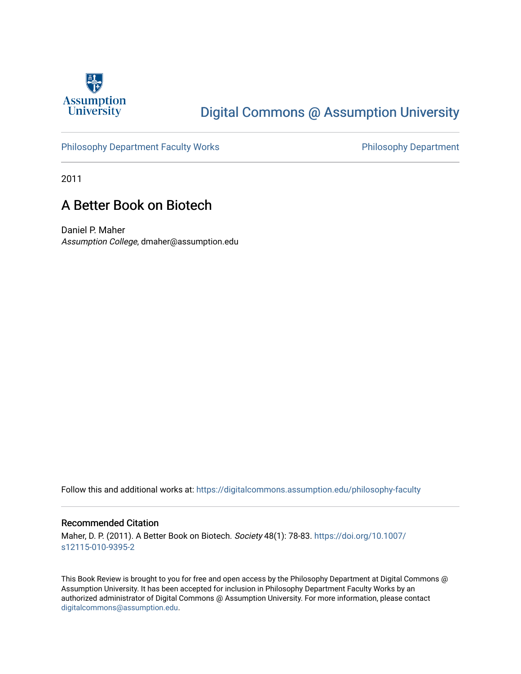

## [Digital Commons @ Assumption University](https://digitalcommons.assumption.edu/)

## [Philosophy Department Faculty Works](https://digitalcommons.assumption.edu/philosophy-faculty) **Philosophy Department**

2011

## A Better Book on Biotech

Daniel P. Maher Assumption College, dmaher@assumption.edu

Follow this and additional works at: [https://digitalcommons.assumption.edu/philosophy-faculty](https://digitalcommons.assumption.edu/philosophy-faculty?utm_source=digitalcommons.assumption.edu%2Fphilosophy-faculty%2F26&utm_medium=PDF&utm_campaign=PDFCoverPages) 

## Recommended Citation

Maher, D. P. (2011). A Better Book on Biotech. Society 48(1): 78-83. [https://doi.org/10.1007/](https://doi.org/10.1007/s12115-010-9395-2) [s12115-010-9395-2](https://doi.org/10.1007/s12115-010-9395-2)

This Book Review is brought to you for free and open access by the Philosophy Department at Digital Commons @ Assumption University. It has been accepted for inclusion in Philosophy Department Faculty Works by an authorized administrator of Digital Commons @ Assumption University. For more information, please contact [digitalcommons@assumption.edu](mailto:digitalcommons@assumption.edu).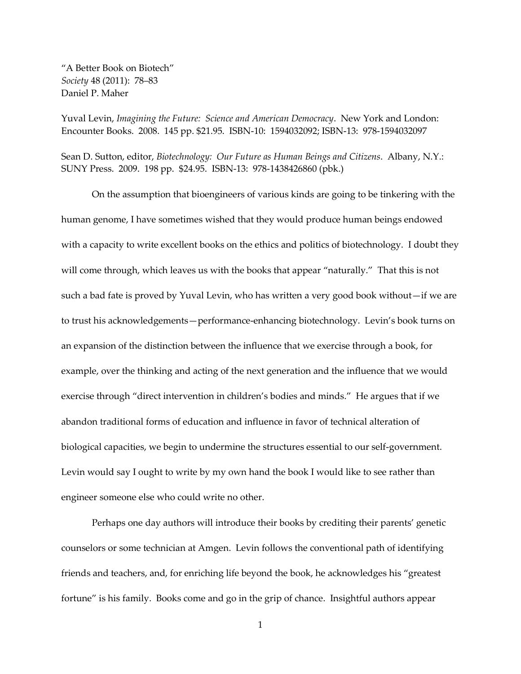"A Better Book on Biotech" *Society* 48 (2011): 78–83 Daniel P. Maher

Yuval Levin, *Imagining the Future: Science and American Democracy*. New York and London: Encounter Books. 2008. 145 pp. \$21.95. ISBN-10: 1594032092; ISBN-13: 978-1594032097

Sean D. Sutton, editor, *Biotechnology: Our Future as Human Beings and Citizens*. Albany, N.Y.: SUNY Press. 2009. 198 pp. \$24.95. ISBN-13: 978-1438426860 (pbk.)

On the assumption that bioengineers of various kinds are going to be tinkering with the human genome, I have sometimes wished that they would produce human beings endowed with a capacity to write excellent books on the ethics and politics of biotechnology. I doubt they will come through, which leaves us with the books that appear "naturally." That this is not such a bad fate is proved by Yuval Levin, who has written a very good book without—if we are to trust his acknowledgements—performance-enhancing biotechnology. Levin's book turns on an expansion of the distinction between the influence that we exercise through a book, for example, over the thinking and acting of the next generation and the influence that we would exercise through "direct intervention in children's bodies and minds." He argues that if we abandon traditional forms of education and influence in favor of technical alteration of biological capacities, we begin to undermine the structures essential to our self-government. Levin would say I ought to write by my own hand the book I would like to see rather than engineer someone else who could write no other.

Perhaps one day authors will introduce their books by crediting their parents' genetic counselors or some technician at Amgen. Levin follows the conventional path of identifying friends and teachers, and, for enriching life beyond the book, he acknowledges his "greatest fortune" is his family. Books come and go in the grip of chance. Insightful authors appear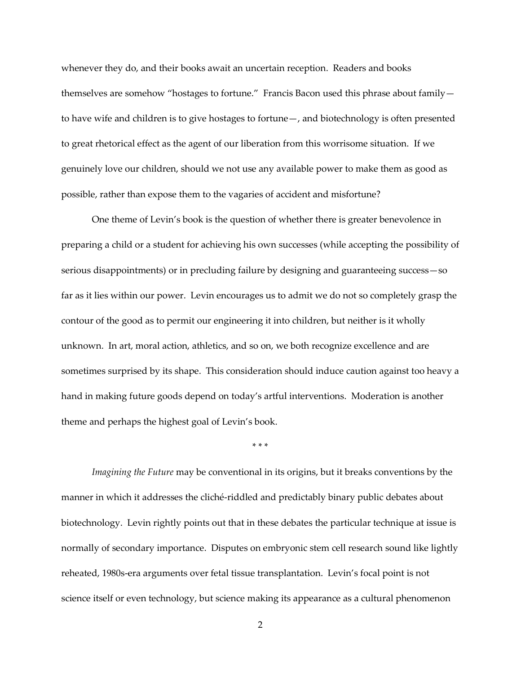whenever they do, and their books await an uncertain reception. Readers and books themselves are somehow "hostages to fortune." Francis Bacon used this phrase about family to have wife and children is to give hostages to fortune—, and biotechnology is often presented to great rhetorical effect as the agent of our liberation from this worrisome situation. If we genuinely love our children, should we not use any available power to make them as good as possible, rather than expose them to the vagaries of accident and misfortune?

One theme of Levin's book is the question of whether there is greater benevolence in preparing a child or a student for achieving his own successes (while accepting the possibility of serious disappointments) or in precluding failure by designing and guaranteeing success—so far as it lies within our power. Levin encourages us to admit we do not so completely grasp the contour of the good as to permit our engineering it into children, but neither is it wholly unknown. In art, moral action, athletics, and so on, we both recognize excellence and are sometimes surprised by its shape. This consideration should induce caution against too heavy a hand in making future goods depend on today's artful interventions. Moderation is another theme and perhaps the highest goal of Levin's book.

\* \* \*

*Imagining the Future* may be conventional in its origins, but it breaks conventions by the manner in which it addresses the cliché-riddled and predictably binary public debates about biotechnology. Levin rightly points out that in these debates the particular technique at issue is normally of secondary importance. Disputes on embryonic stem cell research sound like lightly reheated, 1980s-era arguments over fetal tissue transplantation. Levin's focal point is not science itself or even technology, but science making its appearance as a cultural phenomenon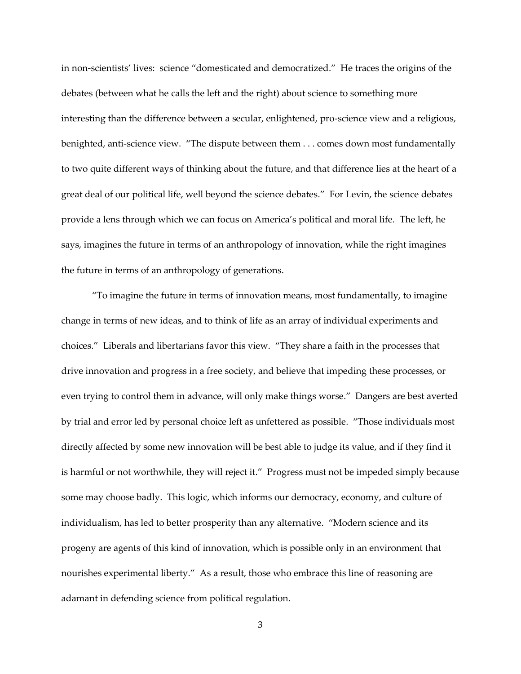in non-scientists' lives: science "domesticated and democratized." He traces the origins of the debates (between what he calls the left and the right) about science to something more interesting than the difference between a secular, enlightened, pro-science view and a religious, benighted, anti-science view. "The dispute between them . . . comes down most fundamentally to two quite different ways of thinking about the future, and that difference lies at the heart of a great deal of our political life, well beyond the science debates." For Levin, the science debates provide a lens through which we can focus on America's political and moral life. The left, he says, imagines the future in terms of an anthropology of innovation, while the right imagines the future in terms of an anthropology of generations.

"To imagine the future in terms of innovation means, most fundamentally, to imagine change in terms of new ideas, and to think of life as an array of individual experiments and choices." Liberals and libertarians favor this view. "They share a faith in the processes that drive innovation and progress in a free society, and believe that impeding these processes, or even trying to control them in advance, will only make things worse." Dangers are best averted by trial and error led by personal choice left as unfettered as possible. "Those individuals most directly affected by some new innovation will be best able to judge its value, and if they find it is harmful or not worthwhile, they will reject it." Progress must not be impeded simply because some may choose badly. This logic, which informs our democracy, economy, and culture of individualism, has led to better prosperity than any alternative. "Modern science and its progeny are agents of this kind of innovation, which is possible only in an environment that nourishes experimental liberty." As a result, those who embrace this line of reasoning are adamant in defending science from political regulation.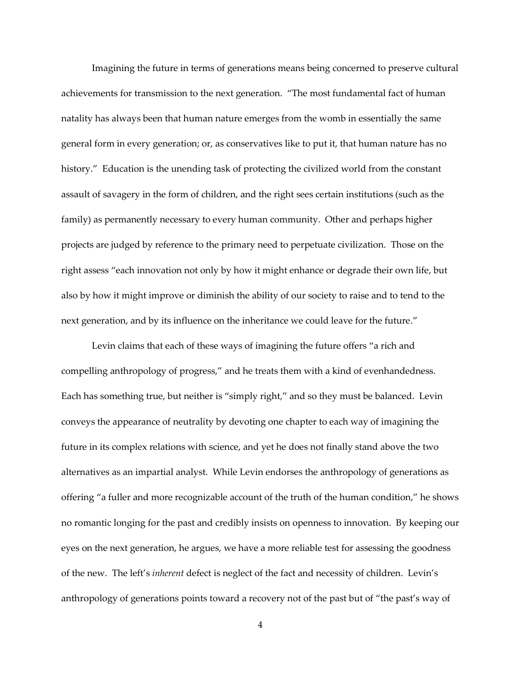Imagining the future in terms of generations means being concerned to preserve cultural achievements for transmission to the next generation. "The most fundamental fact of human natality has always been that human nature emerges from the womb in essentially the same general form in every generation; or, as conservatives like to put it, that human nature has no history." Education is the unending task of protecting the civilized world from the constant assault of savagery in the form of children, and the right sees certain institutions (such as the family) as permanently necessary to every human community. Other and perhaps higher projects are judged by reference to the primary need to perpetuate civilization. Those on the right assess "each innovation not only by how it might enhance or degrade their own life, but also by how it might improve or diminish the ability of our society to raise and to tend to the next generation, and by its influence on the inheritance we could leave for the future."

Levin claims that each of these ways of imagining the future offers "a rich and compelling anthropology of progress," and he treats them with a kind of evenhandedness. Each has something true, but neither is "simply right," and so they must be balanced. Levin conveys the appearance of neutrality by devoting one chapter to each way of imagining the future in its complex relations with science, and yet he does not finally stand above the two alternatives as an impartial analyst. While Levin endorses the anthropology of generations as offering "a fuller and more recognizable account of the truth of the human condition," he shows no romantic longing for the past and credibly insists on openness to innovation. By keeping our eyes on the next generation, he argues, we have a more reliable test for assessing the goodness of the new. The left's *inherent* defect is neglect of the fact and necessity of children. Levin's anthropology of generations points toward a recovery not of the past but of "the past's way of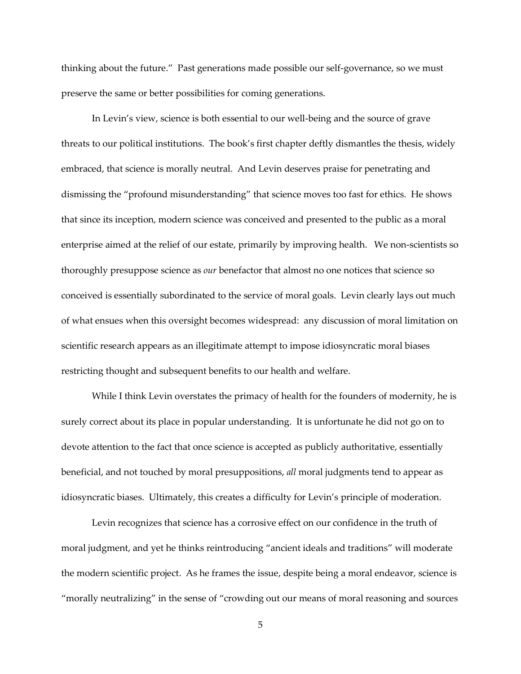thinking about the future." Past generations made possible our self-governance, so we must preserve the same or better possibilities for coming generations.

In Levin's view, science is both essential to our well-being and the source of grave threats to our political institutions. The book's first chapter deftly dismantles the thesis, widely embraced, that science is morally neutral. And Levin deserves praise for penetrating and dismissing the "profound misunderstanding" that science moves too fast for ethics. He shows that since its inception, modern science was conceived and presented to the public as a moral enterprise aimed at the relief of our estate, primarily by improving health. We non-scientists so thoroughly presuppose science as *our* benefactor that almost no one notices that science so conceived is essentially subordinated to the service of moral goals. Levin clearly lays out much of what ensues when this oversight becomes widespread: any discussion of moral limitation on scientific research appears as an illegitimate attempt to impose idiosyncratic moral biases restricting thought and subsequent benefits to our health and welfare.

While I think Levin overstates the primacy of health for the founders of modernity, he is surely correct about its place in popular understanding. It is unfortunate he did not go on to devote attention to the fact that once science is accepted as publicly authoritative, essentially beneficial, and not touched by moral presuppositions, *all* moral judgments tend to appear as idiosyncratic biases. Ultimately, this creates a difficulty for Levin's principle of moderation.

Levin recognizes that science has a corrosive effect on our confidence in the truth of moral judgment, and yet he thinks reintroducing "ancient ideals and traditions" will moderate the modern scientific project. As he frames the issue, despite being a moral endeavor, science is "morally neutralizing" in the sense of "crowding out our means of moral reasoning and sources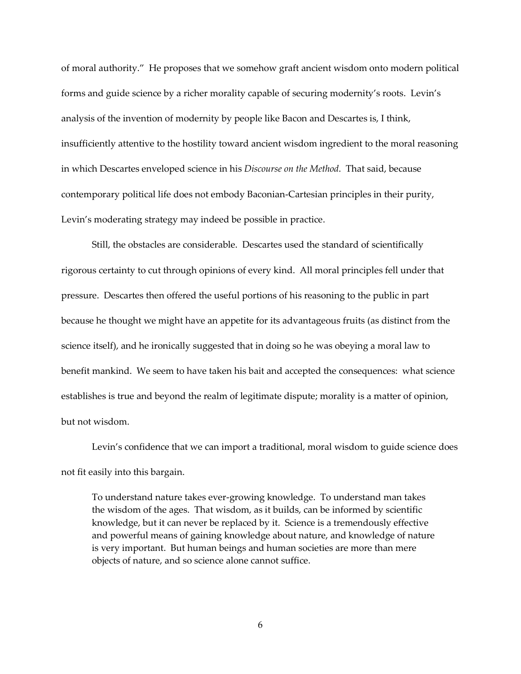of moral authority." He proposes that we somehow graft ancient wisdom onto modern political forms and guide science by a richer morality capable of securing modernity's roots. Levin's analysis of the invention of modernity by people like Bacon and Descartes is, I think, insufficiently attentive to the hostility toward ancient wisdom ingredient to the moral reasoning in which Descartes enveloped science in his *Discourse on the Method*. That said, because contemporary political life does not embody Baconian-Cartesian principles in their purity, Levin's moderating strategy may indeed be possible in practice.

Still, the obstacles are considerable. Descartes used the standard of scientifically rigorous certainty to cut through opinions of every kind. All moral principles fell under that pressure. Descartes then offered the useful portions of his reasoning to the public in part because he thought we might have an appetite for its advantageous fruits (as distinct from the science itself), and he ironically suggested that in doing so he was obeying a moral law to benefit mankind. We seem to have taken his bait and accepted the consequences: what science establishes is true and beyond the realm of legitimate dispute; morality is a matter of opinion, but not wisdom.

Levin's confidence that we can import a traditional, moral wisdom to guide science does not fit easily into this bargain.

To understand nature takes ever-growing knowledge. To understand man takes the wisdom of the ages. That wisdom, as it builds, can be informed by scientific knowledge, but it can never be replaced by it. Science is a tremendously effective and powerful means of gaining knowledge about nature, and knowledge of nature is very important. But human beings and human societies are more than mere objects of nature, and so science alone cannot suffice.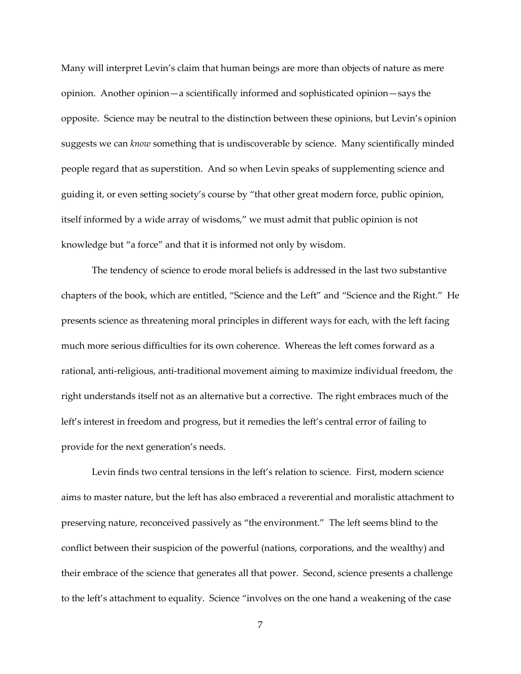Many will interpret Levin's claim that human beings are more than objects of nature as mere opinion. Another opinion—a scientifically informed and sophisticated opinion—says the opposite. Science may be neutral to the distinction between these opinions, but Levin's opinion suggests we can *know* something that is undiscoverable by science. Many scientifically minded people regard that as superstition. And so when Levin speaks of supplementing science and guiding it, or even setting society's course by "that other great modern force, public opinion, itself informed by a wide array of wisdoms," we must admit that public opinion is not knowledge but "a force" and that it is informed not only by wisdom.

The tendency of science to erode moral beliefs is addressed in the last two substantive chapters of the book, which are entitled, "Science and the Left" and "Science and the Right." He presents science as threatening moral principles in different ways for each, with the left facing much more serious difficulties for its own coherence. Whereas the left comes forward as a rational, anti-religious, anti-traditional movement aiming to maximize individual freedom, the right understands itself not as an alternative but a corrective. The right embraces much of the left's interest in freedom and progress, but it remedies the left's central error of failing to provide for the next generation's needs.

Levin finds two central tensions in the left's relation to science. First, modern science aims to master nature, but the left has also embraced a reverential and moralistic attachment to preserving nature, reconceived passively as "the environment." The left seems blind to the conflict between their suspicion of the powerful (nations, corporations, and the wealthy) and their embrace of the science that generates all that power. Second, science presents a challenge to the left's attachment to equality. Science "involves on the one hand a weakening of the case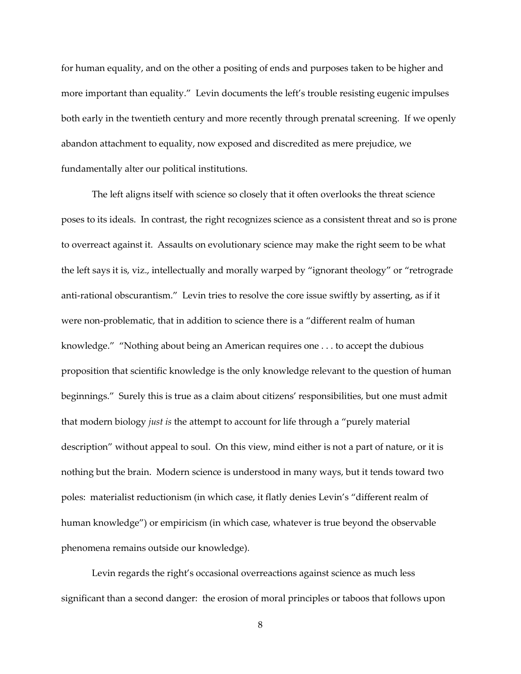for human equality, and on the other a positing of ends and purposes taken to be higher and more important than equality." Levin documents the left's trouble resisting eugenic impulses both early in the twentieth century and more recently through prenatal screening. If we openly abandon attachment to equality, now exposed and discredited as mere prejudice, we fundamentally alter our political institutions.

The left aligns itself with science so closely that it often overlooks the threat science poses to its ideals. In contrast, the right recognizes science as a consistent threat and so is prone to overreact against it. Assaults on evolutionary science may make the right seem to be what the left says it is, viz., intellectually and morally warped by "ignorant theology" or "retrograde anti-rational obscurantism." Levin tries to resolve the core issue swiftly by asserting, as if it were non-problematic, that in addition to science there is a "different realm of human knowledge." "Nothing about being an American requires one . . . to accept the dubious proposition that scientific knowledge is the only knowledge relevant to the question of human beginnings." Surely this is true as a claim about citizens' responsibilities, but one must admit that modern biology *just is* the attempt to account for life through a "purely material description" without appeal to soul. On this view, mind either is not a part of nature, or it is nothing but the brain. Modern science is understood in many ways, but it tends toward two poles: materialist reductionism (in which case, it flatly denies Levin's "different realm of human knowledge") or empiricism (in which case, whatever is true beyond the observable phenomena remains outside our knowledge).

Levin regards the right's occasional overreactions against science as much less significant than a second danger: the erosion of moral principles or taboos that follows upon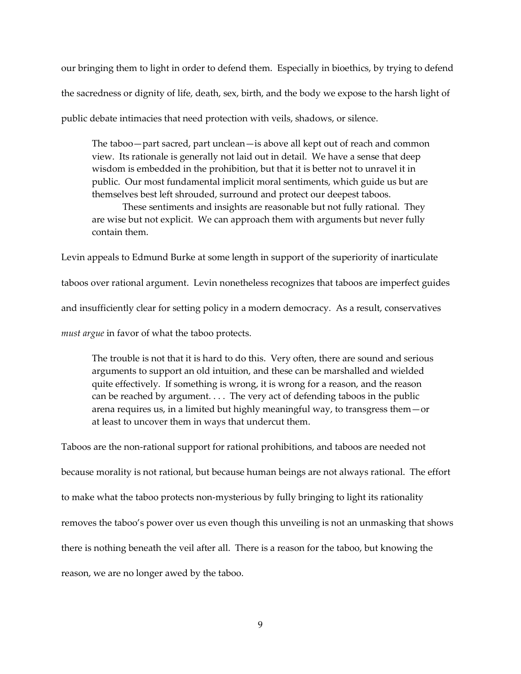our bringing them to light in order to defend them. Especially in bioethics, by trying to defend the sacredness or dignity of life, death, sex, birth, and the body we expose to the harsh light of public debate intimacies that need protection with veils, shadows, or silence.

The taboo—part sacred, part unclean—is above all kept out of reach and common view. Its rationale is generally not laid out in detail. We have a sense that deep wisdom is embedded in the prohibition, but that it is better not to unravel it in public. Our most fundamental implicit moral sentiments, which guide us but are themselves best left shrouded, surround and protect our deepest taboos.

These sentiments and insights are reasonable but not fully rational. They are wise but not explicit. We can approach them with arguments but never fully contain them.

Levin appeals to Edmund Burke at some length in support of the superiority of inarticulate taboos over rational argument. Levin nonetheless recognizes that taboos are imperfect guides and insufficiently clear for setting policy in a modern democracy. As a result, conservatives *must argue* in favor of what the taboo protects.

The trouble is not that it is hard to do this. Very often, there are sound and serious arguments to support an old intuition, and these can be marshalled and wielded quite effectively. If something is wrong, it is wrong for a reason, and the reason can be reached by argument. . . . The very act of defending taboos in the public arena requires us, in a limited but highly meaningful way, to transgress them—or at least to uncover them in ways that undercut them.

Taboos are the non-rational support for rational prohibitions, and taboos are needed not because morality is not rational, but because human beings are not always rational. The effort to make what the taboo protects non-mysterious by fully bringing to light its rationality removes the taboo's power over us even though this unveiling is not an unmasking that shows there is nothing beneath the veil after all. There is a reason for the taboo, but knowing the reason, we are no longer awed by the taboo.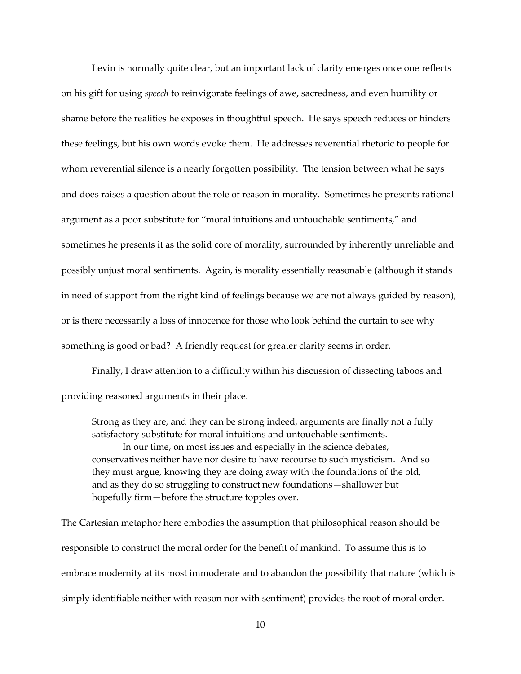Levin is normally quite clear, but an important lack of clarity emerges once one reflects on his gift for using *speech* to reinvigorate feelings of awe, sacredness, and even humility or shame before the realities he exposes in thoughtful speech. He says speech reduces or hinders these feelings, but his own words evoke them. He addresses reverential rhetoric to people for whom reverential silence is a nearly forgotten possibility. The tension between what he says and does raises a question about the role of reason in morality. Sometimes he presents rational argument as a poor substitute for "moral intuitions and untouchable sentiments," and sometimes he presents it as the solid core of morality, surrounded by inherently unreliable and possibly unjust moral sentiments. Again, is morality essentially reasonable (although it stands in need of support from the right kind of feelings because we are not always guided by reason), or is there necessarily a loss of innocence for those who look behind the curtain to see why something is good or bad? A friendly request for greater clarity seems in order.

Finally, I draw attention to a difficulty within his discussion of dissecting taboos and providing reasoned arguments in their place.

Strong as they are, and they can be strong indeed, arguments are finally not a fully satisfactory substitute for moral intuitions and untouchable sentiments. In our time, on most issues and especially in the science debates, conservatives neither have nor desire to have recourse to such mysticism. And so they must argue, knowing they are doing away with the foundations of the old, and as they do so struggling to construct new foundations—shallower but hopefully firm—before the structure topples over.

The Cartesian metaphor here embodies the assumption that philosophical reason should be responsible to construct the moral order for the benefit of mankind. To assume this is to embrace modernity at its most immoderate and to abandon the possibility that nature (which is simply identifiable neither with reason nor with sentiment) provides the root of moral order.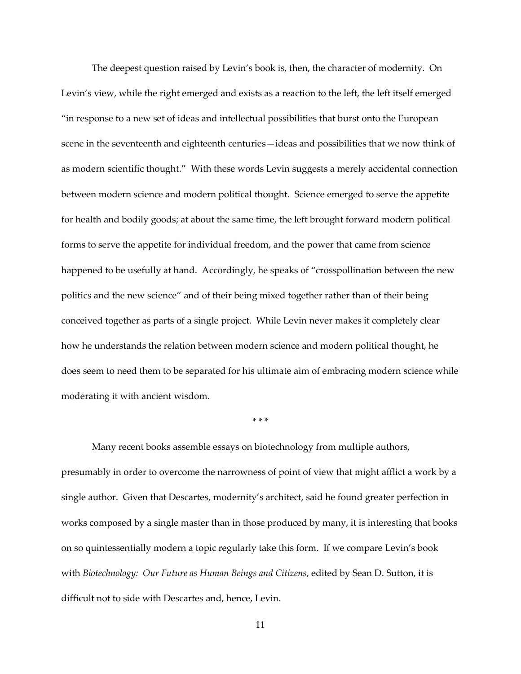The deepest question raised by Levin's book is, then, the character of modernity. On Levin's view, while the right emerged and exists as a reaction to the left, the left itself emerged "in response to a new set of ideas and intellectual possibilities that burst onto the European scene in the seventeenth and eighteenth centuries—ideas and possibilities that we now think of as modern scientific thought." With these words Levin suggests a merely accidental connection between modern science and modern political thought. Science emerged to serve the appetite for health and bodily goods; at about the same time, the left brought forward modern political forms to serve the appetite for individual freedom, and the power that came from science happened to be usefully at hand. Accordingly, he speaks of "crosspollination between the new politics and the new science" and of their being mixed together rather than of their being conceived together as parts of a single project. While Levin never makes it completely clear how he understands the relation between modern science and modern political thought, he does seem to need them to be separated for his ultimate aim of embracing modern science while moderating it with ancient wisdom.

\* \* \*

Many recent books assemble essays on biotechnology from multiple authors, presumably in order to overcome the narrowness of point of view that might afflict a work by a single author. Given that Descartes, modernity's architect, said he found greater perfection in works composed by a single master than in those produced by many, it is interesting that books on so quintessentially modern a topic regularly take this form. If we compare Levin's book with *Biotechnology: Our Future as Human Beings and Citizens*, edited by Sean D. Sutton, it is difficult not to side with Descartes and, hence, Levin.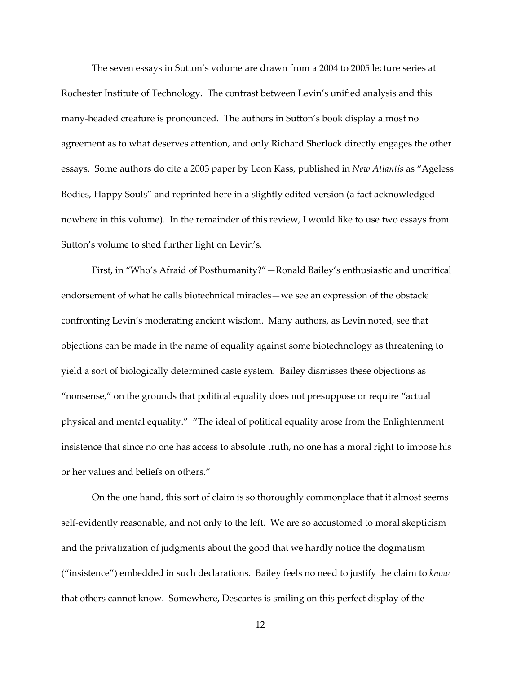The seven essays in Sutton's volume are drawn from a 2004 to 2005 lecture series at Rochester Institute of Technology. The contrast between Levin's unified analysis and this many-headed creature is pronounced. The authors in Sutton's book display almost no agreement as to what deserves attention, and only Richard Sherlock directly engages the other essays. Some authors do cite a 2003 paper by Leon Kass, published in *New Atlantis* as "Ageless Bodies, Happy Souls" and reprinted here in a slightly edited version (a fact acknowledged nowhere in this volume). In the remainder of this review, I would like to use two essays from Sutton's volume to shed further light on Levin's.

First, in "Who's Afraid of Posthumanity?"—Ronald Bailey's enthusiastic and uncritical endorsement of what he calls biotechnical miracles—we see an expression of the obstacle confronting Levin's moderating ancient wisdom. Many authors, as Levin noted, see that objections can be made in the name of equality against some biotechnology as threatening to yield a sort of biologically determined caste system. Bailey dismisses these objections as "nonsense," on the grounds that political equality does not presuppose or require "actual physical and mental equality." "The ideal of political equality arose from the Enlightenment insistence that since no one has access to absolute truth, no one has a moral right to impose his or her values and beliefs on others."

On the one hand, this sort of claim is so thoroughly commonplace that it almost seems self-evidently reasonable, and not only to the left. We are so accustomed to moral skepticism and the privatization of judgments about the good that we hardly notice the dogmatism ("insistence") embedded in such declarations. Bailey feels no need to justify the claim to *know* that others cannot know. Somewhere, Descartes is smiling on this perfect display of the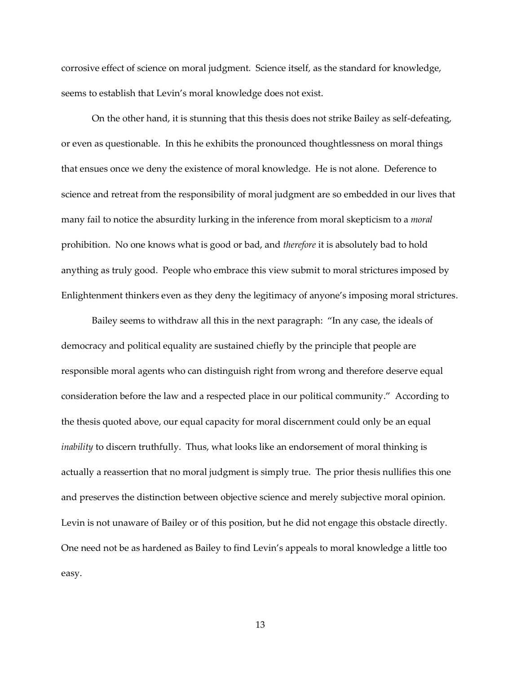corrosive effect of science on moral judgment. Science itself, as the standard for knowledge, seems to establish that Levin's moral knowledge does not exist.

On the other hand, it is stunning that this thesis does not strike Bailey as self-defeating, or even as questionable. In this he exhibits the pronounced thoughtlessness on moral things that ensues once we deny the existence of moral knowledge. He is not alone. Deference to science and retreat from the responsibility of moral judgment are so embedded in our lives that many fail to notice the absurdity lurking in the inference from moral skepticism to a *moral* prohibition. No one knows what is good or bad, and *therefore* it is absolutely bad to hold anything as truly good. People who embrace this view submit to moral strictures imposed by Enlightenment thinkers even as they deny the legitimacy of anyone's imposing moral strictures.

Bailey seems to withdraw all this in the next paragraph: "In any case, the ideals of democracy and political equality are sustained chiefly by the principle that people are responsible moral agents who can distinguish right from wrong and therefore deserve equal consideration before the law and a respected place in our political community." According to the thesis quoted above, our equal capacity for moral discernment could only be an equal *inability* to discern truthfully. Thus, what looks like an endorsement of moral thinking is actually a reassertion that no moral judgment is simply true. The prior thesis nullifies this one and preserves the distinction between objective science and merely subjective moral opinion. Levin is not unaware of Bailey or of this position, but he did not engage this obstacle directly. One need not be as hardened as Bailey to find Levin's appeals to moral knowledge a little too easy.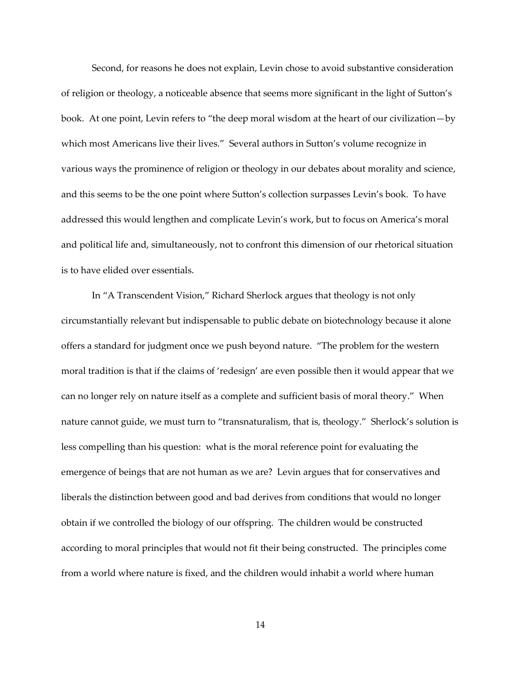Second, for reasons he does not explain, Levin chose to avoid substantive consideration of religion or theology, a noticeable absence that seems more significant in the light of Sutton's book. At one point, Levin refers to "the deep moral wisdom at the heart of our civilization—by which most Americans live their lives." Several authors in Sutton's volume recognize in various ways the prominence of religion or theology in our debates about morality and science, and this seems to be the one point where Sutton's collection surpasses Levin's book. To have addressed this would lengthen and complicate Levin's work, but to focus on America's moral and political life and, simultaneously, not to confront this dimension of our rhetorical situation is to have elided over essentials.

In "A Transcendent Vision," Richard Sherlock argues that theology is not only circumstantially relevant but indispensable to public debate on biotechnology because it alone offers a standard for judgment once we push beyond nature. "The problem for the western moral tradition is that if the claims of 'redesign' are even possible then it would appear that we can no longer rely on nature itself as a complete and sufficient basis of moral theory." When nature cannot guide, we must turn to "transnaturalism, that is, theology." Sherlock's solution is less compelling than his question: what is the moral reference point for evaluating the emergence of beings that are not human as we are? Levin argues that for conservatives and liberals the distinction between good and bad derives from conditions that would no longer obtain if we controlled the biology of our offspring. The children would be constructed according to moral principles that would not fit their being constructed. The principles come from a world where nature is fixed, and the children would inhabit a world where human